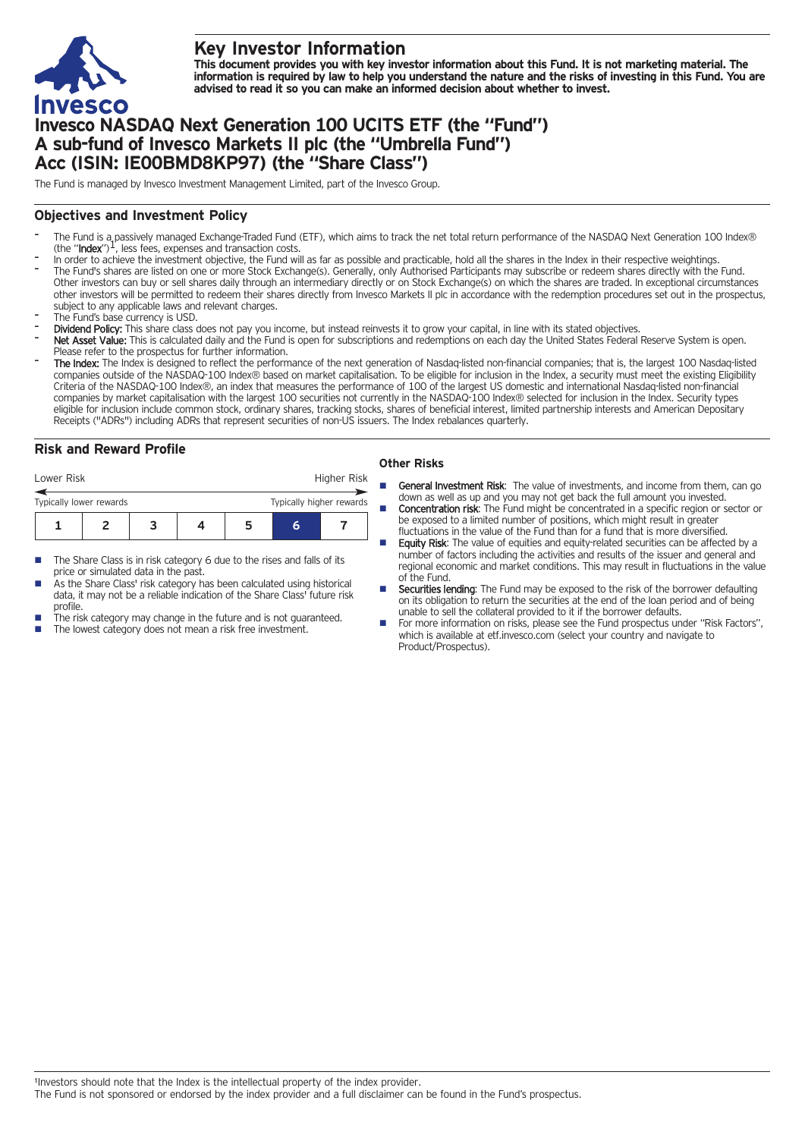

# **Key Investor Information**

This document provides you with key investor information about this Fund. It is not marketing material. The information is required by law to help you understand the nature and the risks of investing in this Fund. You are **advised to read it so you can make an informed decision about whether to invest.**

# **Invesco NASDAQ Next Generation 100 UCITS ETF (the "Fund") A sub-fund of Invesco Markets II plc (the "Umbrella Fund") Acc (ISIN: IE00BMD8KP97) (the "Share Class")**

The Fund is managed by Invesco Investment Management Limited, part of the Invesco Group.

## **Objectives and Investment Policy**

- The Fund is a passively managed Exchange-Traded Fund (ETF), which aims to track the net total return performance of the NASDAQ Next Generation 100 Index®<br>(the "Index")<sup>1</sup>, less fees, expenses and transaction costs.
- In order to achieve the investment objective, the Fund will as far as possible and practicable, hold all the shares in the Index in their respective weightings.
- The Fund's shares are listed on one or more Stock Exchange(s). Generally, only Authorised Participants may subscribe or redeem shares directly with the Fund. Other investors can buy or sell shares daily through an intermediary directly or on Stock Exchange(s) on which the shares are traded. In exceptional circumstances other investors will be permitted to redeem their shares directly from Invesco Markets II plc in accordance with the redemption procedures set out in the prospectus, subject to any applicable laws and relevant charges.
- The Fund's base currency is USD.
- Dividend Policy: This share class does not pay you income, but instead reinvests it to grow your capital, in line with its stated objectives.
- Net Asset Value: This is calculated daily and the Fund is open for subscriptions and redemptions on each day the United States Federal Reserve System is open. Please refer to the prospectus for further information.
- The Index: The Index is designed to reflect the performance of the next generation of Nasdaq-listed non-financial companies; that is, the largest 100 Nasdaq-listed companies outside of the NASDAQ-100 Index® based on market capitalisation. To be eligible for inclusion in the Index, a security must meet the existing Eligibility Criteria of the NASDAQ-100 Index®, an index that measures the performance of 100 of the largest US domestic and international Nasdaq-listed non-financial companies by market capitalisation with the largest 100 securities not currently in the NASDAQ-100 Index® selected for inclusion in the Index. Security types eligible for inclusion include common stock, ordinary shares, tracking stocks, shares of beneficial interest, limited partnership interests and American Depositary Receipts ("ADRs") including ADRs that represent securities of non-US issuers. The Index rebalances quarterly.

# **Risk and Reward Profile**

| Lower Risk                                          |  |  |  |  |   | Higher Risk |  |
|-----------------------------------------------------|--|--|--|--|---|-------------|--|
| Typically higher rewards<br>Typically lower rewards |  |  |  |  |   |             |  |
|                                                     |  |  |  |  | h |             |  |

- The Share Class is in risk category 6 due to the rises and falls of its price or simulated data in the past.
- As the Share Class' risk category has been calculated using historical data, it may not be a reliable indication of the Share Class' future risk profile.
- The risk category may change in the future and is not guaranteed.
- The lowest category does not mean a risk free investment.

### **Other Risks**

- General Investment Risk: The value of investments, and income from them, can go down as well as up and you may not get back the full amount you invested. **Concentration risk:** The Fund might be concentrated in a specific region or sector or
- be exposed to a limited number of positions, which might result in greater fluctuations in the value of the Fund than for a fund that is more diversified.
- Equity Risk: The value of equities and equity-related securities can be affected by a number of factors including the activities and results of the issuer and general and regional economic and market conditions. This may result in fluctuations in the value of the Fund.
- Securities lending: The Fund may be exposed to the risk of the borrower defaulting on its obligation to return the securities at the end of the loan period and of being unable to sell the collateral provided to it if the borrower defaults.
- For more information on risks, please see the Fund prospectus under "Risk Factors", which is available at etf.invesco.com (select your country and navigate to Product/Prospectus).